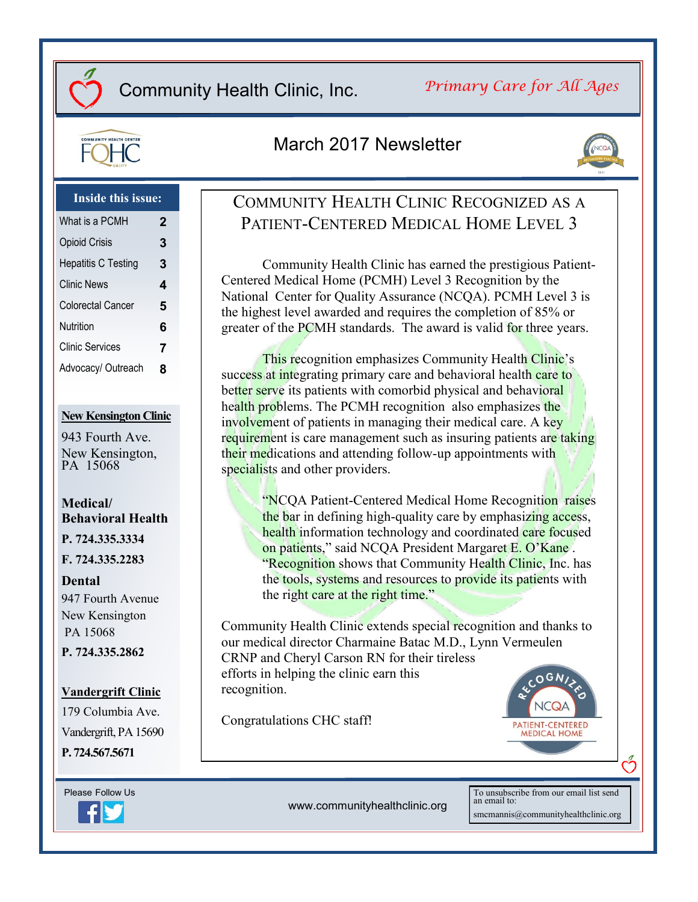### *Primary Care for All Ages*



### March 2017 Newsletter



### **Inside this issue:**

| What is a PCMH             | $\mathbf 2$ |
|----------------------------|-------------|
| <b>Opioid Crisis</b>       | 3           |
| <b>Hepatitis C Testing</b> | 3           |
| <b>Clinic News</b>         | 4           |
| Colorectal Cancer          | 5           |
| Nutrition                  | 6           |
| <b>Clinic Services</b>     | 7           |
| Advocacy/ Outreach         | 8           |

### **New Kensington Clinic**

943 Fourth Ave. New Kensington, PA 15068

### **Medical/ Behavioral Health**

**P. 724.335.3334**

**F. 724.335.2283**

#### **Dental**

947 Fourth Avenue New Kensington PA 15068 **P. 724.335.2862**

### **Vandergrift Clinic**

179 Columbia Ave. Vandergrift, PA 15690 **P. 724.567.5671**



COMMUNITY HEALTH CLINIC RECOGNIZED AS A PATIENT-CENTERED MEDICAL HOME LEVEL 3

Community Health Clinic has earned the prestigious Patient-Centered Medical Home (PCMH) Level 3 Recognition by the National Center for Quality Assurance (NCQA). PCMH Level 3 is the highest level awarded and requires the completion of 85% or greater of the PCMH standards. The award is valid for three years.

This recognition emphasizes Community Health Clinic's success at integrating primary care and behavioral health care to better serve its patients with comorbid physical and behavioral health problems. The PCMH recognition also emphasizes the involvement of patients in managing their medical care. A key requirement is care management such as insuring patients are taking their medications and attending follow-up appointments with specialists and other providers.

> "NCQA Patient-Centered Medical Home Recognition raises the bar in defining high-quality care by emphasizing access, health information technology and coordinated care focused on patients," said NCQA President Margaret E. O'Kane . "Recognition shows that Community Health Clinic, Inc. has the tools, systems and resources to provide its patients with the right care at the right time."

Community Health Clinic extends special recognition and thanks to our medical director Charmaine Batac M.D., Lynn Vermeulen CRNP and Cheryl Carson RN for their tireless efforts in helping the clinic earn this recognition.

Congratulations CHC staff!



www.communityhealthclinic.org

To unsubscribe from our email list send an email to: smcmannis@communityhealthclinic.org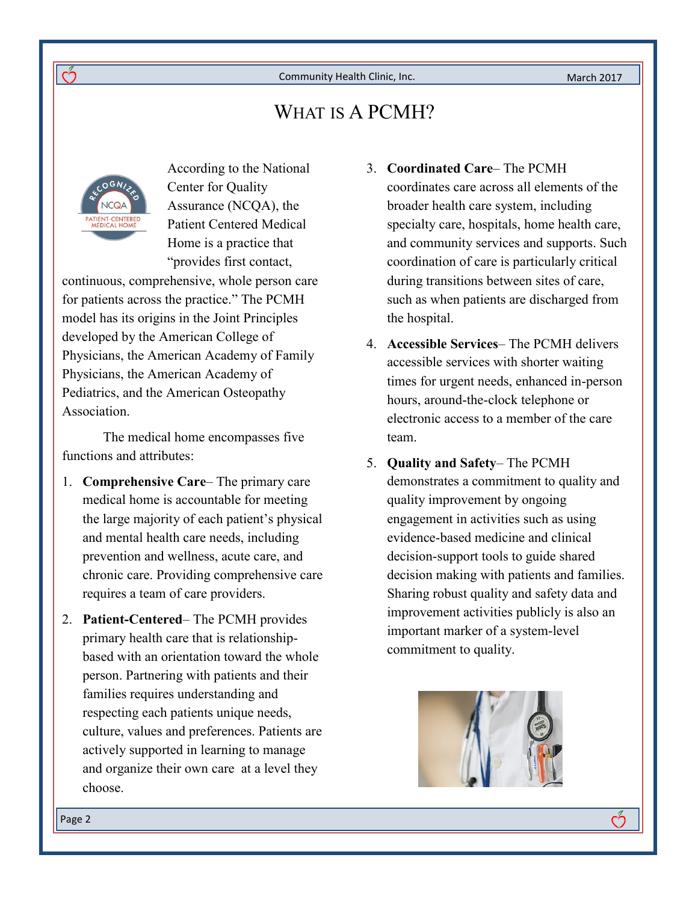March 2017

# WHAT IS A PCMH?



ကိ

According to the National Center for Quality Assurance (NCQA), the Patient Centered Medical Home is a practice that "provides first contact,

continuous, comprehensive, whole person care for patients across the practice." The PCMH model has its origins in the Joint Principles developed by the American College of Physicians, the American Academy of Family Physicians, the American Academy of Pediatrics, and the American Osteopathy **Association** 

The medical home encompasses five functions and attributes:

- 1. **Comprehensive Care** The primary care medical home is accountable for meeting the large majority of each patient's physical and mental health care needs, including prevention and wellness, acute care, and chronic care. Providing comprehensive care requires a team of care providers.
- 2. **Patient-Centered** The PCMH provides primary health care that is relationshipbased with an orientation toward the whole person. Partnering with patients and their families requires understanding and respecting each patients unique needs, culture, values and preferences. Patients are actively supported in learning to manage and organize their own care at a level they choose.
- 3. **Coordinated Care** The PCMH coordinates care across all elements of the broader health care system, including specialty care, hospitals, home health care, and community services and supports. Such coordination of care is particularly critical during transitions between sites of care, such as when patients are discharged from the hospital.
- 4. **Accessible Services** The PCMH delivers accessible services with shorter waiting times for urgent needs, enhanced in-person hours, around-the-clock telephone or electronic access to a member of the care team.
- 5. **Quality and Safety** The PCMH demonstrates a commitment to quality and quality improvement by ongoing engagement in activities such as using evidence-based medicine and clinical decision-support tools to guide shared decision making with patients and families. Sharing robust quality and safety data and improvement activities publicly is also an important marker of a system-level commitment to quality.



ကိ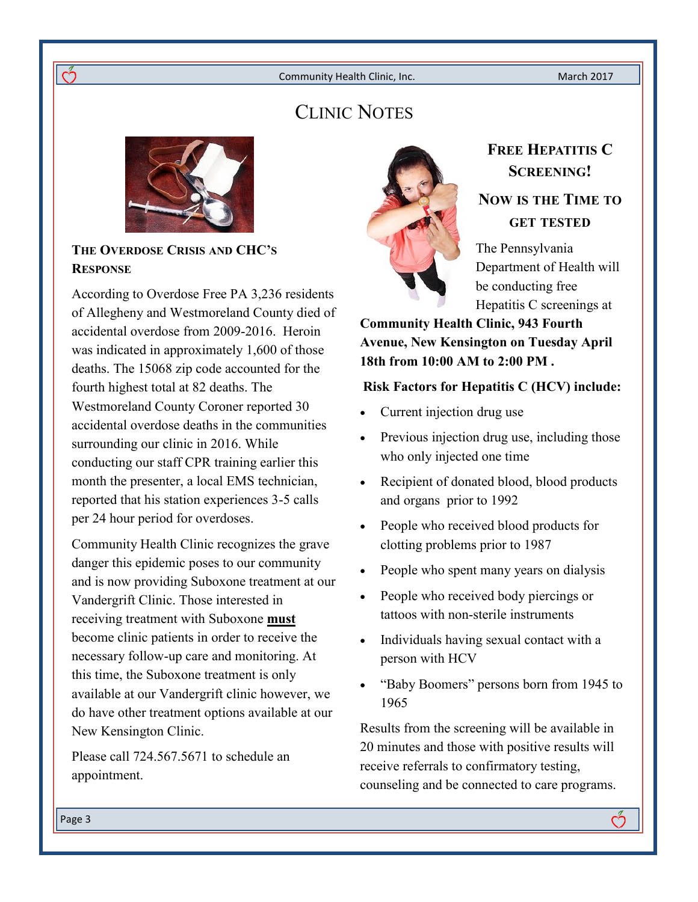# CLINIC NOTES



**THE OVERDOSE CRISIS AND CHC'S RESPONSE**

ကိ

According to Overdose Free PA 3,236 residents of Allegheny and Westmoreland County died of accidental overdose from 2009-2016. Heroin was indicated in approximately 1,600 of those deaths. The 15068 zip code accounted for the fourth highest total at 82 deaths. The Westmoreland County Coroner reported 30 accidental overdose deaths in the communities surrounding our clinic in 2016. While conducting our staff CPR training earlier this month the presenter, a local EMS technician, reported that his station experiences 3-5 calls per 24 hour period for overdoses.

Community Health Clinic recognizes the grave danger this epidemic poses to our community and is now providing Suboxone treatment at our Vandergrift Clinic. Those interested in receiving treatment with Suboxone **must** become clinic patients in order to receive the necessary follow-up care and monitoring. At this time, the Suboxone treatment is only available at our Vandergrift clinic however, we do have other treatment options available at our New Kensington Clinic.

Please call 724.567.5671 to schedule an appointment.



# **FREE HEPATITIS C SCREENING!**

### **NOW IS THE TIME TO GET TESTED**

The Pennsylvania Department of Health will be conducting free Hepatitis C screenings at

**Community Health Clinic, 943 Fourth Avenue, New Kensington on Tuesday April 18th from 10:00 AM to 2:00 PM .** 

### **Risk Factors for Hepatitis C (HCV) include:**

- Current injection drug use
- Previous injection drug use, including those who only injected one time
- Recipient of donated blood, blood products and organs prior to 1992
- People who received blood products for clotting problems prior to 1987
- People who spent many years on dialysis
- People who received body piercings or tattoos with non-sterile instruments
- Individuals having sexual contact with a person with HCV
- "Baby Boomers" persons born from 1945 to 1965

Results from the screening will be available in 20 minutes and those with positive results will receive referrals to confirmatory testing, counseling and be connected to care programs.

Page 3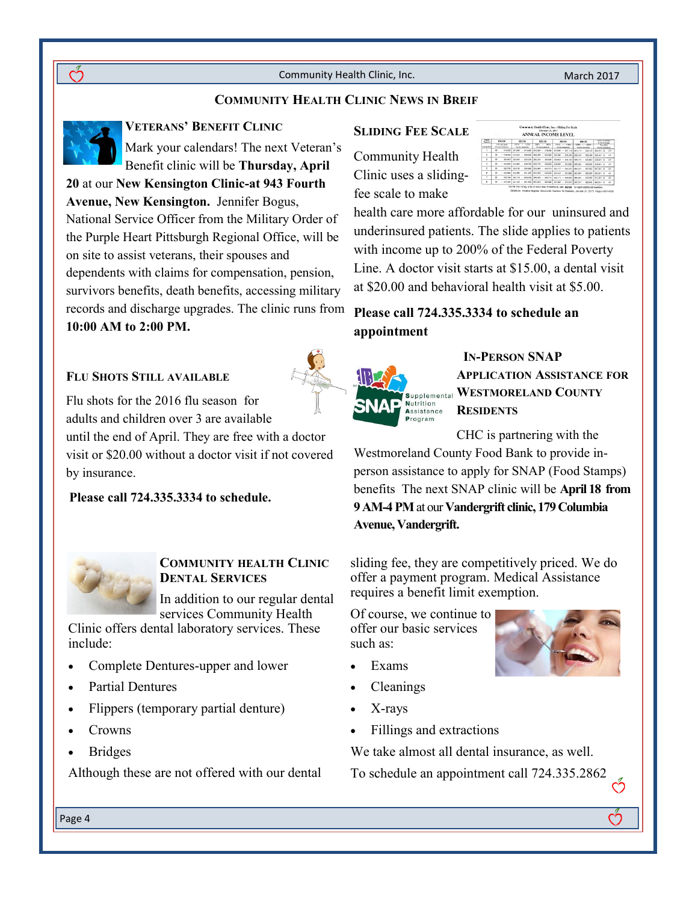### **COMMUNITY HEALTH CLINIC NEWS IN BREIF**



**VETERANS' BENEFIT CLINIC**

Mark your calendars! The next Veteran's Benefit clinic will be **Thursday, April 20** at our **New Kensington Clinic-at 943 Fourth Avenue, New Kensington.** Jennifer Bogus, National Service Officer from the Military Order of the Purple Heart Pittsburgh Regional Office, will be on site to assist veterans, their spouses and dependents with claims for compensation, pension, survivors benefits, death benefits, accessing military records and discharge upgrades. The clinic runs from **10:00 AM to 2:00 PM.**

### **FLU SHOTS STILL AVAILABLE**

Flu shots for the 2016 flu season for adults and children over 3 are available

until the end of April. They are free with a doctor visit or \$20.00 without a doctor visit if not covered by insurance.

**Please call 724.335.3334 to schedule.**



### **COMMUNITY HEALTH CLINIC DENTAL SERVICES**

In addition to our regular dental services Community Health

Clinic offers dental laboratory services. These include:

- Complete Dentures-upper and lower
- Partial Dentures
- Flippers (temporary partial denture)
- Crowns
- Bridges

Although these are not offered with our dental

#### **SLIDING FEE SCALE**

Community Health Clinic uses a slidingfee scale to make

|                          |                                                     |                                | February 21, 2017<br>ANNUAL INCOME LEVEL |                                       |                                                    | V.                                     |
|--------------------------|-----------------------------------------------------|--------------------------------|------------------------------------------|---------------------------------------|----------------------------------------------------|----------------------------------------|
| Fatar<br>Percent         | \$15.00                                             | \$25.00                        | \$35.00                                  | \$45.00                               | \$55.00                                            | <b>SOS of Charge</b><br>\$125 BECAUSE  |
| <b>Family War</b>        | <b>Title and Borise</b><br><b>Payable Dutchlook</b> | 1015 - 1225<br>Povery European | 1205 - 1976<br>Payada Quibelista         | TAYS.<br>TNC<br>Printed a Contentment | THIS - 2005<br>Powery Guidelines                   | Over 2005<br>Povey Guidelines          |
| ٠                        | $-812.060$<br>80 <sub>1</sub>                       | 512 (43 - 515 09)              | <b><i>RIAGN1 - SIX FAX</i></b>           | \$18,091 - \$21,110                   | 821 T11 - RN 109                                   | <b>R24 101 &amp;</b><br>182            |
| $\overline{z}$           | 50<br>$-824.082$                                    | \$16,241<br>$-$ 500.000        | 620, 931<br>\$04,000                     | 604,064<br>509,435<br>. .             | \$28,421   \$32,450                                | \$32,401 &<br>w                        |
| $\overline{\phantom{a}}$ | $\mathbf{B}$<br>850,420                             | 521-F21 - \$25,530             | 635,631 .<br>\$31,633                    | \$50,631 - 856,748                    | SW TEL. SEVAN                                      | $\overline{10}$<br><b>SAVANY &amp;</b> |
| ×                        | 80 <sub>o</sub><br>$-0.1450$                        | \$24,600 - \$30,750            | 630.751 - 636.800                        | SOR ARY - SAN FAIR                    | \$43,003 - \$40,000 \$40,000 \$                    | <b>ID</b>                              |
| s.                       | s.<br>538,785                                       | 528.781 - 535.900              | \$35,931 - \$43,533                      | \$43,011 - \$60,570                   | 64.571 - 657.920                                   | i ili<br>657.564 A                     |
| á.                       | $- 832.980$<br>80                                   |                                | 832 061 - 641 000 641 001 - 645 440      | Sekers - 967 AND                      | \$57,681 - \$65,000                                | \$55,001 &<br>œ                        |
| $\overline{z}$           | m<br><b>SYF SAN</b>                                 |                                | 537.141 - 546.420 546.421 - \$\$5.710    | 865,711 - 066,000                     | 565,001 - 574,200                                  | \$74,201 &<br>œ                        |
| ×                        | 50<br>\$41,320                                      |                                | \$41,521 - 851,650 \$51,651 - \$61,900   |                                       | \$61,661 - \$72,510 \$72,511 - \$82,640 \$50,641 & | 110 <sup></sup>                        |

health care more affordable for our uninsured and underinsured patients. The slide applies to patients with income up to 200% of the Federal Poverty Line. A doctor visit starts at \$15.00, a dental visit at \$20.00 and behavioral health visit at \$5.00.

### **Please call 724.335.3334 to schedule an appointment**



 **IN-PERSON SNAP APPLICATION ASSISTANCE FOR WESTMORELAND COUNTY RESIDENTS**

CHC is partnering with the

Westmoreland County Food Bank to provide inperson assistance to apply for SNAP (Food Stamps) benefits The next SNAP clinic will be **April 18 from 9 AM-4 PM** at our **Vandergrift clinic, 179 Columbia Avenue, Vandergrift.** 

sliding fee, they are competitively priced. We do offer a payment program. Medical Assistance requires a benefit limit exemption.

Of course, we continue to offer our basic services such as:

- Exams
- Cleanings
- X-rays
- Fillings and extractions

We take almost all dental insurance, as well.

To schedule an appointment call 724.335.2862

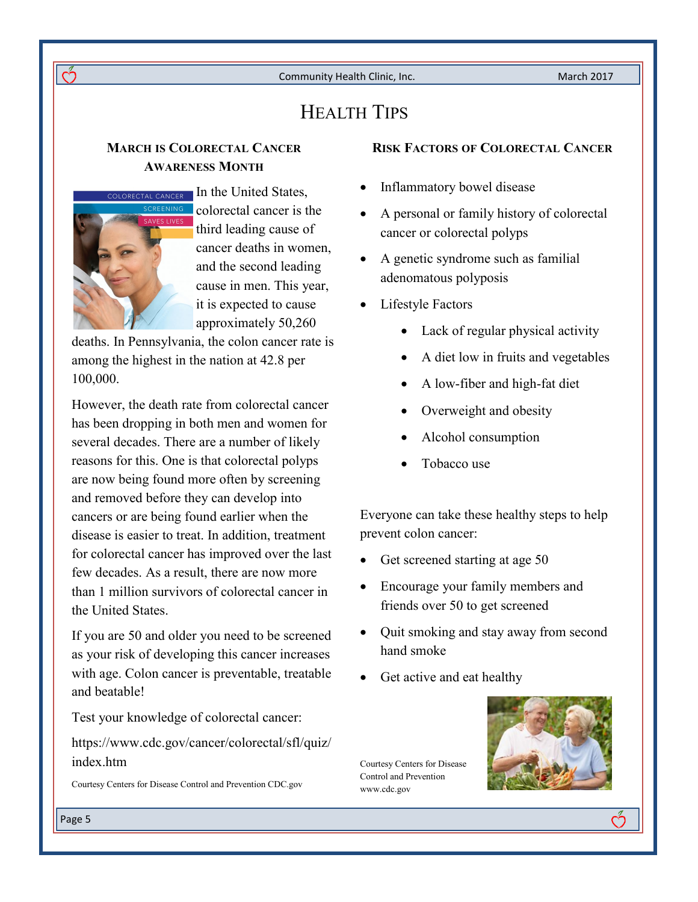# HEALTH TIPS

### **MARCH IS COLORECTAL CANCER AWARENESS MONTH**



ကိ

ORECTAL CANCER In the United States. colorectal cancer is the third leading cause of cancer deaths in women, and the second leading cause in men. This year, it is expected to cause approximately 50,260

deaths. In Pennsylvania, the colon cancer rate is among the highest in the nation at 42.8 per 100,000.

However, the death rate from colorectal cancer has been dropping in both men and women for several decades. There are a number of likely reasons for this. One is that colorectal polyps are now being found more often by screening and removed before they can develop into cancers or are being found earlier when the disease is easier to treat. In addition, treatment for colorectal cancer has improved over the last few decades. As a result, there are now more than 1 million survivors of colorectal cancer in the United States.

If you are 50 and older you need to be screened as your risk of developing this cancer increases with age. Colon cancer is preventable, treatable and beatable!

Test your knowledge of colorectal cancer:

https://www.cdc.gov/cancer/colorectal/sfl/quiz/ index.htm

Courtesy Centers for Disease Control and Prevention CDC.gov

### **RISK FACTORS OF COLORECTAL CANCER**

- Inflammatory bowel disease
- A personal or family history of colorectal cancer or colorectal polyps
- A genetic syndrome such as familial adenomatous polyposis
- Lifestyle Factors
	- Lack of regular physical activity
	- A diet low in fruits and vegetables
	- A low-fiber and high-fat diet
	- Overweight and obesity
	- Alcohol consumption
	- Tobacco use

Everyone can take these healthy steps to help prevent colon cancer:

- Get screened starting at age 50
- Encourage your family members and friends over 50 to get screened
- Quit smoking and stay away from second hand smoke
- Get active and eat healthy

Courtesy Centers for Disease Control and Prevention www.cdc.gov



က်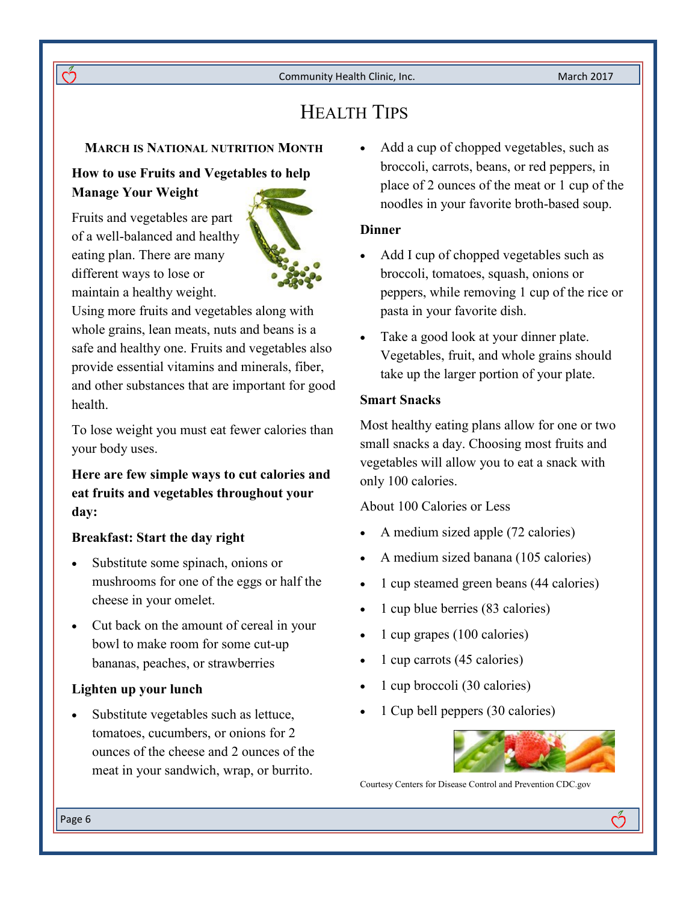# HEALTH TIPS

### **MARCH IS NATIONAL NUTRITION MONTH**

### **How to use Fruits and Vegetables to help Manage Your Weight**

Fruits and vegetables are part of a well-balanced and healthy eating plan. There are many different ways to lose or maintain a healthy weight.



Using more fruits and vegetables along with whole grains, lean meats, nuts and beans is a safe and healthy one. Fruits and vegetables also provide essential vitamins and minerals, fiber, and other substances that are important for good health.

To lose weight you must eat fewer calories than your body uses.

**Here are few simple ways to cut calories and eat fruits and vegetables throughout your day:**

#### **Breakfast: Start the day right**

- Substitute some spinach, onions or mushrooms for one of the eggs or half the cheese in your omelet.
- Cut back on the amount of cereal in your bowl to make room for some cut-up bananas, peaches, or strawberries

### **Lighten up your lunch**

 Substitute vegetables such as lettuce, tomatoes, cucumbers, or onions for 2 ounces of the cheese and 2 ounces of the meat in your sandwich, wrap, or burrito.

 Add a cup of chopped vegetables, such as broccoli, carrots, beans, or red peppers, in place of 2 ounces of the meat or 1 cup of the noodles in your favorite broth-based soup.

### **Dinner**

- Add I cup of chopped vegetables such as broccoli, tomatoes, squash, onions or peppers, while removing 1 cup of the rice or pasta in your favorite dish.
- Take a good look at your dinner plate. Vegetables, fruit, and whole grains should take up the larger portion of your plate.

### **Smart Snacks**

Most healthy eating plans allow for one or two small snacks a day. Choosing most fruits and vegetables will allow you to eat a snack with only 100 calories.

About 100 Calories or Less

- A medium sized apple (72 calories)
- A medium sized banana (105 calories)
- 1 cup steamed green beans (44 calories)
- 1 cup blue berries (83 calories)
- 1 cup grapes (100 calories)
- 1 cup carrots (45 calories)
- 1 cup broccoli (30 calories)
- 1 Cup bell peppers (30 calories)



ကိ

Courtesy Centers for Disease Control and Prevention CDC.gov

 $\overline{\mathcal{C}}$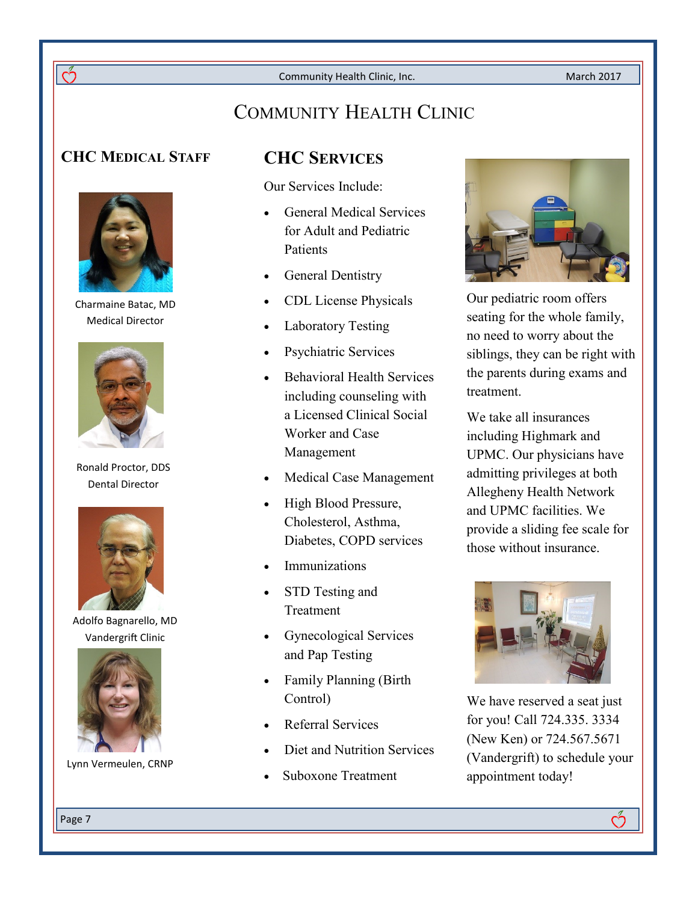March 2017

# COMMUNITY HEALTH CLINIC

### **CHC MEDICAL STAFF CHC SERVICES**



Charmaine Batac, MD Medical Director



Ronald Proctor, DDS Dental Director



Adolfo Bagnarello, MD Vandergrift Clinic



Lynn Vermeulen, CRNP

Our Services Include:

- General Medical Services for Adult and Pediatric **Patients**
- General Dentistry
- CDL License Physicals
- Laboratory Testing
- Psychiatric Services
- Behavioral Health Services including counseling with a Licensed Clinical Social Worker and Case Management
- Medical Case Management
- High Blood Pressure, Cholesterol, Asthma, Diabetes, COPD services
- Immunizations
- STD Testing and Treatment
- Gynecological Services and Pap Testing
- Family Planning (Birth Control)
- Referral Services
- Diet and Nutrition Services
- Suboxone Treatment



Our pediatric room offers seating for the whole family, no need to worry about the siblings, they can be right with the parents during exams and treatment.

We take all insurances including Highmark and UPMC. Our physicians have admitting privileges at both Allegheny Health Network and UPMC facilities. We provide a sliding fee scale for those without insurance.



We have reserved a seat just for you! Call 724.335. 3334 (New Ken) or 724.567.5671 (Vandergrift) to schedule your appointment today!

Page 7

Q,

ကိ